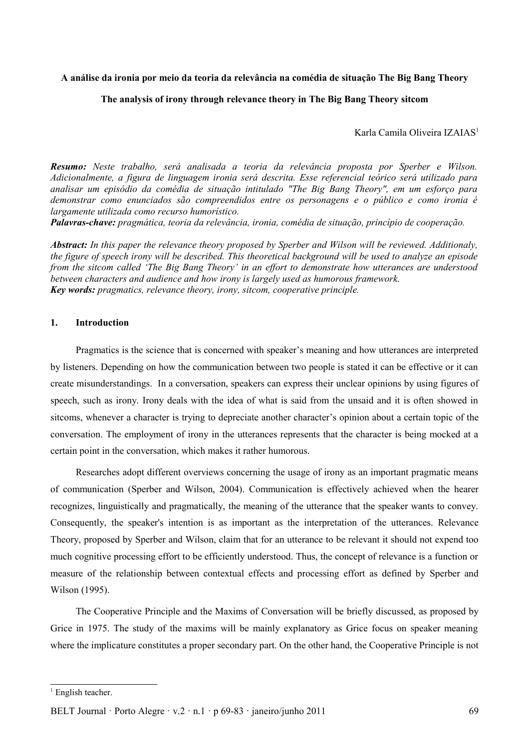### **A análise da ironia por meio da teoria da relevância na comédia de situação The Big Bang Theory**

### **The analysis of irony through relevance theory in The Big Bang Theory sitcom**

Karla Camila Oliveira IZAIAS<sup>[1](#page-0-0)</sup>

*Resumo: Neste trabalho, será analisada a teoria da relevância proposta por Sperber e Wilson. Adicionalmente, a figura de linguagem ironia será descrita. Esse referencial teórico será utilizado para analisar um episódio da comédia de situação intitulado "The Big Bang Theory", em um esforço para demonstrar como enunciados são compreendidos entre os personagens e o público e como ironia é largamente utilizada como recurso humorístico.*

*Palavras-chave: pragmática, teoria da relevância, ironia, comédia de situação, princípio de cooperação.*

*Abstract: In this paper the relevance theory proposed by Sperber and Wilson will be reviewed. Additionaly, the figure of speech irony will be described. This theoretical background will be used to analyze an episode from the sitcom called 'The Big Bang Theory' in an effort to demonstrate how utterances are understood between characters and audience and how irony is largely used as humorous framework. Key words: pragmatics, relevance theory, irony, sitcom, cooperative principle.*

## **1. Introduction**

Pragmatics is the science that is concerned with speaker's meaning and how utterances are interpreted by listeners. Depending on how the communication between two people is stated it can be effective or it can create misunderstandings. In a conversation, speakers can express their unclear opinions by using figures of speech, such as irony. Irony deals with the idea of what is said from the unsaid and it is often showed in sitcoms, whenever a character is trying to depreciate another character's opinion about a certain topic of the conversation. The employment of irony in the utterances represents that the character is being mocked at a certain point in the conversation, which makes it rather humorous.

Researches adopt different overviews concerning the usage of irony as an important pragmatic means of communication (Sperber and Wilson, 2004). Communication is effectively achieved when the hearer recognizes, linguistically and pragmatically, the meaning of the utterance that the speaker wants to convey. Consequently, the speaker's intention is as important as the interpretation of the utterances. Relevance Theory, proposed by Sperber and Wilson, claim that for an utterance to be relevant it should not expend too much cognitive processing effort to be efficiently understood. Thus, the concept of relevance is a function or measure of the relationship between contextual effects and processing effort as defined by Sperber and Wilson (1995).

The Cooperative Principle and the Maxims of Conversation will be briefly discussed, as proposed by Grice in 1975. The study of the maxims will be mainly explanatory as Grice focus on speaker meaning where the implicature constitutes a proper secondary part. On the other hand, the Cooperative Principle is not

<span id="page-0-0"></span> $<sup>1</sup>$  English teacher.</sup>

BELT Journal · Porto Alegre  $\cdot$  v.2  $\cdot$  n.1 · p 69-83 · janeiro/junho 2011 69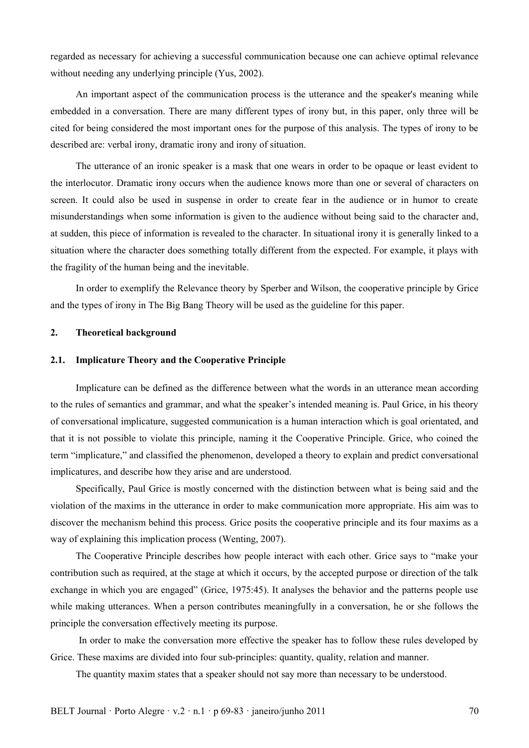regarded as necessary for achieving a successful communication because one can achieve optimal relevance without needing any underlying principle (Yus, 2002).

An important aspect of the communication process is the utterance and the speaker's meaning while embedded in a conversation. There are many different types of irony but, in this paper, only three will be cited for being considered the most important ones for the purpose of this analysis. The types of irony to be described are: verbal irony, dramatic irony and irony of situation.

The utterance of an ironic speaker is a mask that one wears in order to be opaque or least evident to the interlocutor. Dramatic irony occurs when the audience knows more than one or several of characters on screen. It could also be used in suspense in order to create fear in the audience or in humor to create misunderstandings when some information is given to the audience without being said to the character and, at sudden, this piece of information is revealed to the character. In situational irony it is generally linked to a situation where the character does something totally different from the expected. For example, it plays with the fragility of the human being and the inevitable.

In order to exemplify the Relevance theory by Sperber and Wilson, the cooperative principle by Grice and the types of irony in The Big Bang Theory will be used as the guideline for this paper.

# **2. Theoretical background**

### **2.1. Implicature Theory and the Cooperative Principle**

Implicature can be defined as the difference between what the words in an utterance mean according to the rules of semantics and grammar, and what the speaker's intended meaning is. Paul Grice, in his theory of conversational implicature, suggested communication is a human interaction which is goal orientated, and that it is not possible to violate this principle, naming it the Cooperative Principle. Grice, who coined the term "implicature," and classified the phenomenon, developed a theory to explain and predict conversational implicatures, and describe how they arise and are understood.

Specifically, Paul Grice is mostly concerned with the distinction between what is being said and the violation of the maxims in the utterance in order to make communication more appropriate. His aim was to discover the mechanism behind this process. Grice posits the cooperative principle and its four maxims as a way of explaining this implication process (Wenting, 2007).

The Cooperative Principle describes how people interact with each other. Grice says to "make your contribution such as required, at the stage at which it occurs, by the accepted purpose or direction of the talk exchange in which you are engaged" (Grice, 1975:45). It analyses the behavior and the patterns people use while making utterances. When a person contributes meaningfully in a conversation, he or she follows the principle the conversation effectively meeting its purpose.

 In order to make the conversation more effective the speaker has to follow these rules developed by Grice. These maxims are divided into four sub-principles: quantity, quality, relation and manner.

The quantity maxim states that a speaker should not say more than necessary to be understood.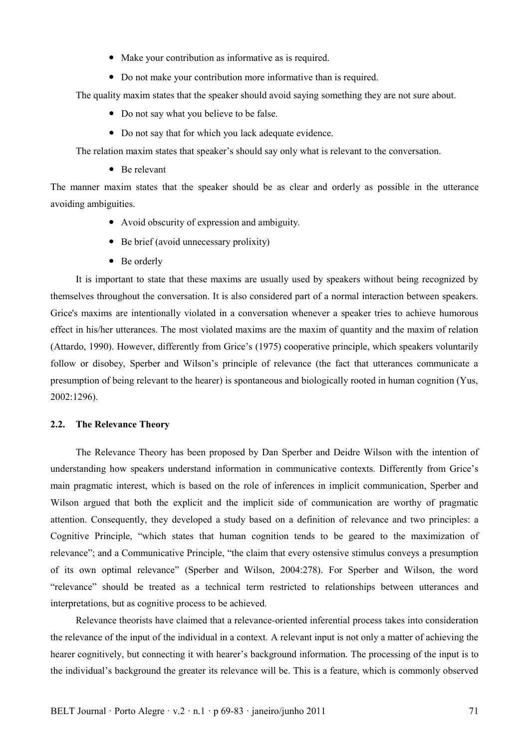- Make your contribution as informative as is required.
- Do not make your contribution more informative than is required.

The quality maxim states that the speaker should avoid saying something they are not sure about.

- Do not say what you believe to be false.
- Do not say that for which you lack adequate evidence.

The relation maxim states that speaker's should say only what is relevant to the conversation.

• Be relevant

The manner maxim states that the speaker should be as clear and orderly as possible in the utterance avoiding ambiguities.

- Avoid obscurity of expression and ambiguity.
- Be brief (avoid unnecessary prolixity)
- Be orderly

It is important to state that these maxims are usually used by speakers without being recognized by themselves throughout the conversation. It is also considered part of a normal interaction between speakers. Grice's maxims are intentionally violated in a conversation whenever a speaker tries to achieve humorous effect in his/her utterances. The most violated maxims are the maxim of quantity and the maxim of relation (Attardo, 1990). However, differently from Grice's (1975) cooperative principle, which speakers voluntarily follow or disobey, Sperber and Wilson's principle of relevance (the fact that utterances communicate a presumption of being relevant to the hearer) is spontaneous and biologically rooted in human cognition (Yus, 2002:1296).

# **2.2. The Relevance Theory**

The Relevance Theory has been proposed by Dan Sperber and Deidre Wilson with the intention of understanding how speakers understand information in communicative contexts. Differently from Grice's main pragmatic interest, which is based on the role of inferences in implicit communication, Sperber and Wilson argued that both the explicit and the implicit side of communication are worthy of pragmatic attention. Consequently, they developed a study based on a definition of relevance and two principles: a Cognitive Principle, "which states that human cognition tends to be geared to the maximization of relevance"; and a Communicative Principle, "the claim that every ostensive stimulus conveys a presumption of its own optimal relevance" (Sperber and Wilson, 2004:278). For Sperber and Wilson, the word "relevance" should be treated as a technical term restricted to relationships between utterances and interpretations, but as cognitive process to be achieved.

Relevance theorists have claimed that a relevance-oriented inferential process takes into consideration the relevance of the input of the individual in a context. A relevant input is not only a matter of achieving the hearer cognitively, but connecting it with hearer's background information. The processing of the input is to the individual's background the greater its relevance will be. This is a feature, which is commonly observed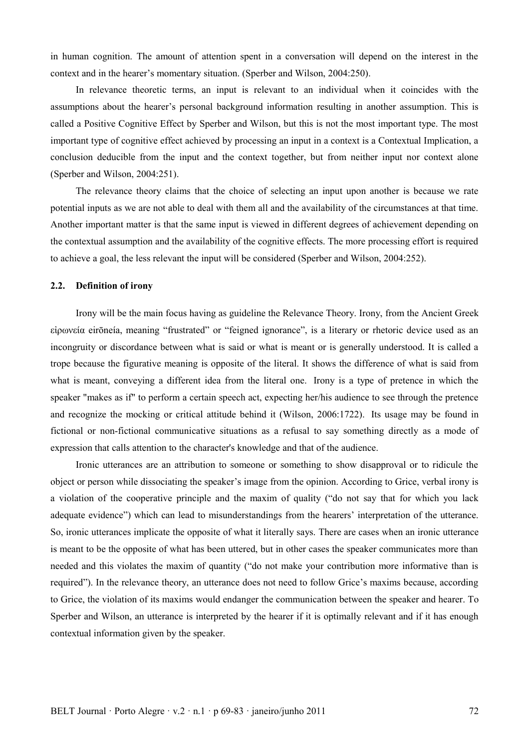in human cognition. The amount of attention spent in a conversation will depend on the interest in the context and in the hearer's momentary situation. (Sperber and Wilson, 2004:250).

In relevance theoretic terms, an input is relevant to an individual when it coincides with the assumptions about the hearer's personal background information resulting in another assumption. This is called a Positive Cognitive Effect by Sperber and Wilson, but this is not the most important type. The most important type of cognitive effect achieved by processing an input in a context is a Contextual Implication, a conclusion deducible from the input and the context together, but from neither input nor context alone (Sperber and Wilson, 2004:251).

The relevance theory claims that the choice of selecting an input upon another is because we rate potential inputs as we are not able to deal with them all and the availability of the circumstances at that time. Another important matter is that the same input is viewed in different degrees of achievement depending on the contextual assumption and the availability of the cognitive effects. The more processing effort is required to achieve a goal, the less relevant the input will be considered (Sperber and Wilson, 2004:252).

# **2.2. Definition of irony**

Irony will be the main focus having as guideline the Relevance Theory. Irony, from the Ancient Greek εἰρωνεία eirōneía, meaning "frustrated" or "feigned ignorance", is a literary or rhetoric device used as an incongruity or discordance between what is said or what is meant or is generally understood. It is called a trope because the figurative meaning is opposite of the literal. It shows the difference of what is said from what is meant, conveying a different idea from the literal one. Irony is a type of pretence in which the speaker "makes as if" to perform a certain speech act, expecting her/his audience to see through the pretence and recognize the mocking or critical attitude behind it (Wilson, 2006:1722). Its usage may be found in fictional or non-fictional communicative situations as a refusal to say something directly as a mode of expression that calls attention to the character's knowledge and that of the audience.

Ironic utterances are an attribution to someone or something to show disapproval or to ridicule the object or person while dissociating the speaker's image from the opinion. According to Grice, verbal irony is a violation of the cooperative principle and the maxim of quality ("do not say that for which you lack adequate evidence") which can lead to misunderstandings from the hearers' interpretation of the utterance. So, ironic utterances implicate the opposite of what it literally says. There are cases when an ironic utterance is meant to be the opposite of what has been uttered, but in other cases the speaker communicates more than needed and this violates the maxim of quantity ("do not make your contribution more informative than is required"). In the relevance theory, an utterance does not need to follow Grice's maxims because, according to Grice, the violation of its maxims would endanger the communication between the speaker and hearer. To Sperber and Wilson, an utterance is interpreted by the hearer if it is optimally relevant and if it has enough contextual information given by the speaker.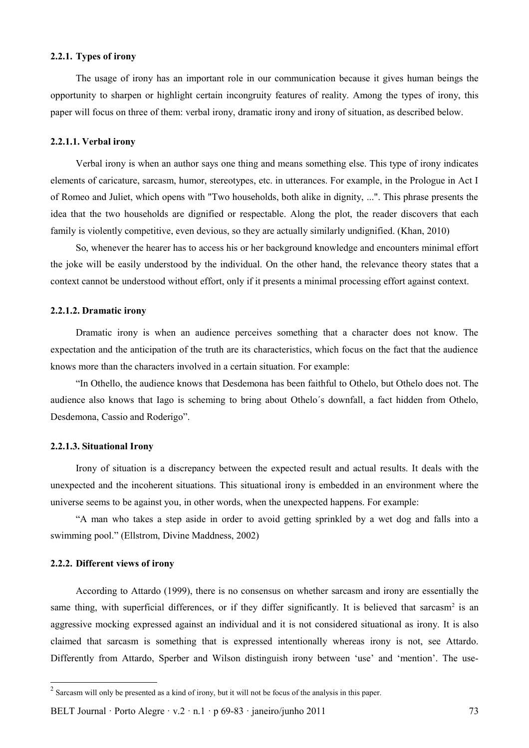# **2.2.1. Types of irony**

The usage of irony has an important role in our communication because it gives human beings the opportunity to sharpen or highlight certain incongruity features of reality. Among the types of irony, this paper will focus on three of them: verbal irony, dramatic irony and irony of situation, as described below.

## **2.2.1.1. Verbal irony**

Verbal irony is when an author says one thing and means something else. This type of irony indicates elements of caricature, sarcasm, humor, stereotypes, etc. in utterances. For example, in the Prologue in Act I of Romeo and Juliet, which opens with "Two households, both alike in dignity, ...". This phrase presents the idea that the two households are dignified or respectable. Along the plot, the reader discovers that each family is violently competitive, even devious, so they are actually similarly undignified. (Khan, 2010)

So, whenever the hearer has to access his or her background knowledge and encounters minimal effort the joke will be easily understood by the individual. On the other hand, the relevance theory states that a context cannot be understood without effort, only if it presents a minimal processing effort against context.

## **2.2.1.2. Dramatic irony**

Dramatic irony is when an audience perceives something that a character does not know. The expectation and the anticipation of the truth are its characteristics, which focus on the fact that the audience knows more than the characters involved in a certain situation. For example:

"In Othello, the audience knows that Desdemona has been faithful to Othelo, but Othelo does not. The audience also knows that Iago is scheming to bring about Othelo´s downfall, a fact hidden from Othelo, Desdemona, Cassio and Roderigo".

#### **2.2.1.3. Situational Irony**

Irony of situation is a discrepancy between the expected result and actual results. It deals with the unexpected and the incoherent situations. This situational irony is embedded in an environment where the universe seems to be against you, in other words, when the unexpected happens. For example:

"A man who takes a step aside in order to avoid getting sprinkled by a wet dog and falls into a swimming pool." (Ellstrom, Divine Maddness, 2002)

#### **2.2.2. Different views of irony**

According to Attardo (1999), there is no consensus on whether sarcasm and irony are essentially the same thing, with superficial differences, or if they differ significantly. It is believed that sarcasm<sup>[2](#page-4-0)</sup> is an aggressive mocking expressed against an individual and it is not considered situational as irony. It is also claimed that sarcasm is something that is expressed intentionally whereas irony is not, see Attardo. Differently from Attardo, Sperber and Wilson distinguish irony between 'use' and 'mention'. The use-

<span id="page-4-0"></span> $2$  Sarcasm will only be presented as a kind of irony, but it will not be focus of the analysis in this paper.

BELT Journal · Porto Alegre · v.2 · n.1 · p  $69-83$  · janeiro/junho 2011 73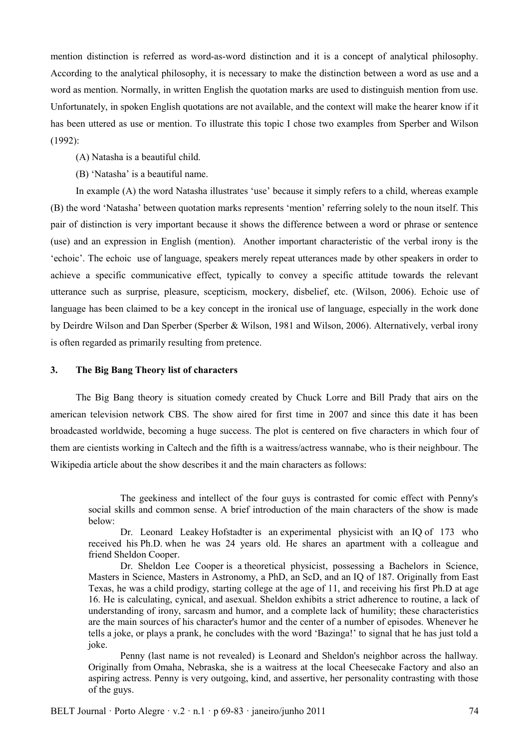mention distinction is referred as word-as-word distinction and it is a concept of analytical philosophy. According to the analytical philosophy, it is necessary to make the distinction between a word as use and a word as mention. Normally, in written English the quotation marks are used to distinguish mention from use. Unfortunately, in spoken English quotations are not available, and the context will make the hearer know if it has been uttered as use or mention. To illustrate this topic I chose two examples from Sperber and Wilson (1992):

(A) Natasha is a beautiful child.

(B) 'Natasha' is a beautiful name.

In example (A) the word Natasha illustrates 'use' because it simply refers to a child, whereas example (B) the word 'Natasha' between quotation marks represents 'mention' referring solely to the noun itself. This pair of distinction is very important because it shows the difference between a word or phrase or sentence (use) and an expression in English (mention). Another important characteristic of the verbal irony is the 'echoic'. The echoic use of language, speakers merely repeat utterances made by other speakers in order to achieve a specific communicative effect, typically to convey a specific attitude towards the relevant utterance such as surprise, pleasure, scepticism, mockery, disbelief, etc. (Wilson, 2006). Echoic use of language has been claimed to be a key concept in the ironical use of language, especially in the work done by Deirdre Wilson and Dan Sperber (Sperber & Wilson, 1981 and Wilson, 2006). Alternatively, verbal irony is often regarded as primarily resulting from pretence.

## **3. The Big Bang Theory list of characters**

The Big Bang theory is situation comedy created by Chuck Lorre and Bill Prady that airs on the american television network CBS. The show aired for first time in 2007 and since this date it has been broadcasted worldwide, becoming a huge success. The plot is centered on five characters in which four of them are cientists working in Caltech and the fifth is a waitress/actress wannabe, who is their neighbour. The Wikipedia article about the show describes it and the main characters as follows:

Penny (last name is not revealed) is Leonard and Sheldon's neighbor across the hallway. Originally from Omaha, Nebraska, she is a waitress at the local Cheesecake Factory and also an aspiring actress. Penny is very outgoing, kind, and assertive, her personality contrasting with those of the guys.

The geekiness and intellect of the four guys is contrasted for comic effect with Penny's social skills and common sense. A brief introduction of the main characters of the show is made below:

Dr. Leonard Leakey Hofstadter is an experimental physicist with an IQ of 173 who received his Ph.D. when he was 24 years old. He shares an apartment with a colleague and friend Sheldon Cooper.

Dr. Sheldon Lee Cooper is a theoretical physicist, possessing a Bachelors in Science, Masters in Science, Masters in Astronomy, a PhD, an ScD, and an IQ of 187. Originally from East Texas, he was a child prodigy, starting college at the age of 11, and receiving his first Ph.D at age 16. He is calculating, cynical, and asexual. Sheldon exhibits a strict adherence to routine, a lack of understanding of irony, sarcasm and humor, and a complete lack of humility; these characteristics are the main sources of his character's humor and the center of a number of episodes. Whenever he tells a joke, or plays a prank, he concludes with the word 'Bazinga!' to signal that he has just told a joke.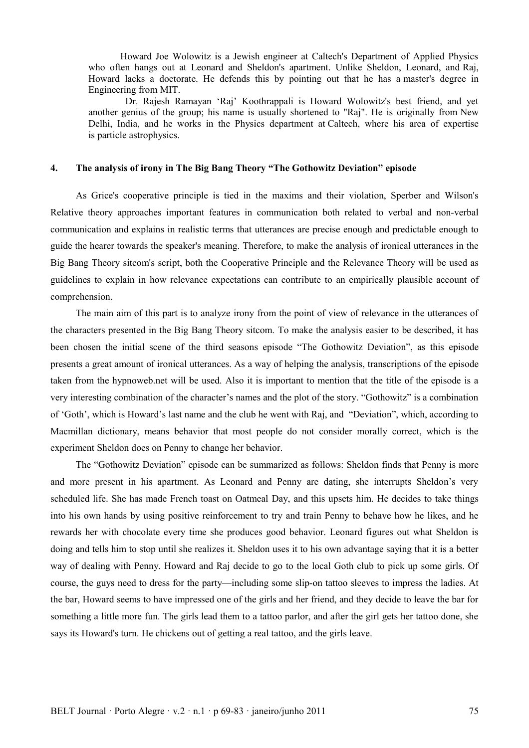Howard Joe Wolowitz is a Jewish engineer at Caltech's Department of Applied Physics who often hangs out at Leonard and Sheldon's apartment. Unlike Sheldon, Leonard, and Raj, Howard lacks a doctorate. He defends this by pointing out that he has a master's degree in Engineering from MIT.

 Dr. Rajesh Ramayan 'Raj' Koothrappali is Howard Wolowitz's best friend, and yet another genius of the group; his name is usually shortened to "Raj". He is originally from New Delhi, India, and he works in the Physics department at Caltech, where his area of expertise is particle astrophysics.

# **4. The analysis of irony in The Big Bang Theory "The Gothowitz Deviation" episode**

As Grice's cooperative principle is tied in the maxims and their violation, Sperber and Wilson's Relative theory approaches important features in communication both related to verbal and non-verbal communication and explains in realistic terms that utterances are precise enough and predictable enough to guide the hearer towards the speaker's meaning. Therefore, to make the analysis of ironical utterances in the Big Bang Theory sitcom's script, both the Cooperative Principle and the Relevance Theory will be used as guidelines to explain in how relevance expectations can contribute to an empirically plausible account of comprehension.

The main aim of this part is to analyze irony from the point of view of relevance in the utterances of the characters presented in the Big Bang Theory sitcom. To make the analysis easier to be described, it has been chosen the initial scene of the third seasons episode "The Gothowitz Deviation", as this episode presents a great amount of ironical utterances. As a way of helping the analysis, transcriptions of the episode taken from the hypnoweb.net will be used. Also it is important to mention that the title of the episode is a very interesting combination of the character's names and the plot of the story. "Gothowitz" is a combination of 'Goth', which is Howard's last name and the club he went with Raj, and "Deviation", which, according to Macmillan dictionary, means behavior that most people do not consider morally correct, which is the experiment Sheldon does on Penny to change her behavior.

The "Gothowitz Deviation" episode can be summarized as follows: Sheldon finds that Penny is more and more present in his apartment. As Leonard and Penny are dating, she interrupts Sheldon's very scheduled life. She has made French toast on Oatmeal Day, and this upsets him. He decides to take things into his own hands by using positive reinforcement to try and train Penny to behave how he likes, and he rewards her with chocolate every time she produces good behavior. Leonard figures out what Sheldon is doing and tells him to stop until she realizes it. Sheldon uses it to his own advantage saying that it is a better way of dealing with Penny. Howard and Raj decide to go to the local Goth club to pick up some girls. Of course, the guys need to dress for the party—including some slip-on tattoo sleeves to impress the ladies. At the bar, Howard seems to have impressed one of the girls and her friend, and they decide to leave the bar for something a little more fun. The girls lead them to a tattoo parlor, and after the girl gets her tattoo done, she says its Howard's turn. He chickens out of getting a real tattoo, and the girls leave.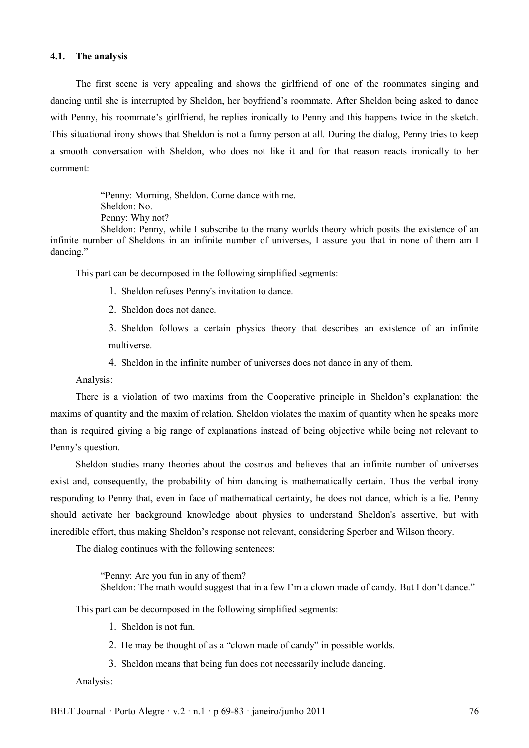## **4.1. The analysis**

The first scene is very appealing and shows the girlfriend of one of the roommates singing and dancing until she is interrupted by Sheldon, her boyfriend's roommate. After Sheldon being asked to dance with Penny, his roommate's girlfriend, he replies ironically to Penny and this happens twice in the sketch. This situational irony shows that Sheldon is not a funny person at all. During the dialog, Penny tries to keep a smooth conversation with Sheldon, who does not like it and for that reason reacts ironically to her comment:

> "Penny: Morning, Sheldon. Come dance with me. Sheldon: No. Penny: Why not?

Sheldon: Penny, while I subscribe to the many worlds theory which posits the existence of an infinite number of Sheldons in an infinite number of universes, I assure you that in none of them am I dancing."

This part can be decomposed in the following simplified segments:

- 1. Sheldon refuses Penny's invitation to dance.
- 2. Sheldon does not dance.

3. Sheldon follows a certain physics theory that describes an existence of an infinite multiverse.

4. Sheldon in the infinite number of universes does not dance in any of them.

Analysis:

There is a violation of two maxims from the Cooperative principle in Sheldon's explanation: the maxims of quantity and the maxim of relation. Sheldon violates the maxim of quantity when he speaks more than is required giving a big range of explanations instead of being objective while being not relevant to Penny's question.

Sheldon studies many theories about the cosmos and believes that an infinite number of universes exist and, consequently, the probability of him dancing is mathematically certain. Thus the verbal irony responding to Penny that, even in face of mathematical certainty, he does not dance, which is a lie. Penny should activate her background knowledge about physics to understand Sheldon's assertive, but with incredible effort, thus making Sheldon's response not relevant, considering Sperber and Wilson theory.

The dialog continues with the following sentences:

"Penny: Are you fun in any of them?

Sheldon: The math would suggest that in a few I'm a clown made of candy. But I don't dance."

This part can be decomposed in the following simplified segments:

- 1. Sheldon is not fun.
- 2. He may be thought of as a "clown made of candy" in possible worlds.
- 3. Sheldon means that being fun does not necessarily include dancing.

Analysis:

BELT Journal · Porto Alegre  $\cdot$  v.2  $\cdot$  n.1 · p 69-83 · janeiro/junho 2011 76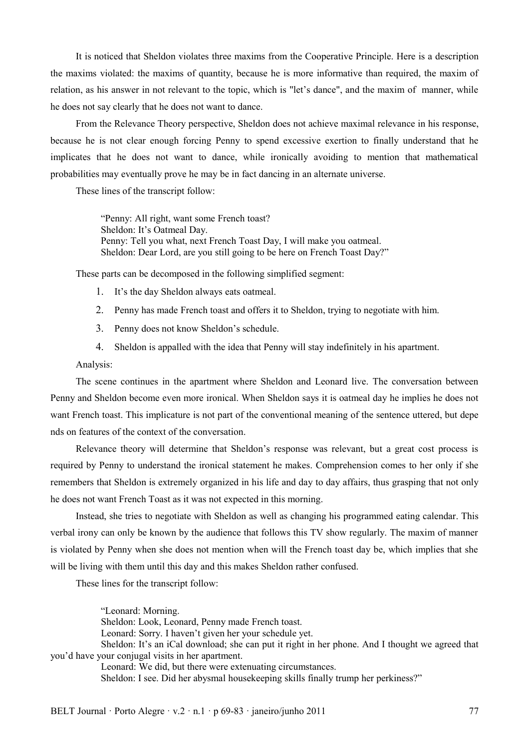It is noticed that Sheldon violates three maxims from the Cooperative Principle. Here is a description the maxims violated: the maxims of quantity, because he is more informative than required, the maxim of relation, as his answer in not relevant to the topic, which is "let's dance", and the maxim of manner, while he does not say clearly that he does not want to dance.

From the Relevance Theory perspective, Sheldon does not achieve maximal relevance in his response, because he is not clear enough forcing Penny to spend excessive exertion to finally understand that he implicates that he does not want to dance, while ironically avoiding to mention that mathematical probabilities may eventually prove he may be in fact dancing in an alternate universe.

These lines of the transcript follow:

"Penny: All right, want some French toast? Sheldon: It's Oatmeal Day. Penny: Tell you what, next French Toast Day, I will make you oatmeal. Sheldon: Dear Lord, are you still going to be here on French Toast Day?"

These parts can be decomposed in the following simplified segment:

- 1. It's the day Sheldon always eats oatmeal.
- 2. Penny has made French toast and offers it to Sheldon, trying to negotiate with him.
- 3. Penny does not know Sheldon's schedule.
- 4. Sheldon is appalled with the idea that Penny will stay indefinitely in his apartment.

## Analysis:

The scene continues in the apartment where Sheldon and Leonard live. The conversation between Penny and Sheldon become even more ironical. When Sheldon says it is oatmeal day he implies he does not want French toast. This implicature is not part of the conventional meaning of the sentence uttered, but depe nds on features of the context of the conversation.

Relevance theory will determine that Sheldon's response was relevant, but a great cost process is required by Penny to understand the ironical statement he makes. Comprehension comes to her only if she remembers that Sheldon is extremely organized in his life and day to day affairs, thus grasping that not only he does not want French Toast as it was not expected in this morning.

Instead, she tries to negotiate with Sheldon as well as changing his programmed eating calendar. This verbal irony can only be known by the audience that follows this TV show regularly. The maxim of manner is violated by Penny when she does not mention when will the French toast day be, which implies that she will be living with them until this day and this makes Sheldon rather confused.

These lines for the transcript follow:

"Leonard: Morning. Sheldon: Look, Leonard, Penny made French toast. Leonard: Sorry. I haven't given her your schedule yet. Sheldon: It's an iCal download; she can put it right in her phone. And I thought we agreed that you'd have your conjugal visits in her apartment. Leonard: We did, but there were extenuating circumstances.

Sheldon: I see. Did her abysmal housekeeping skills finally trump her perkiness?"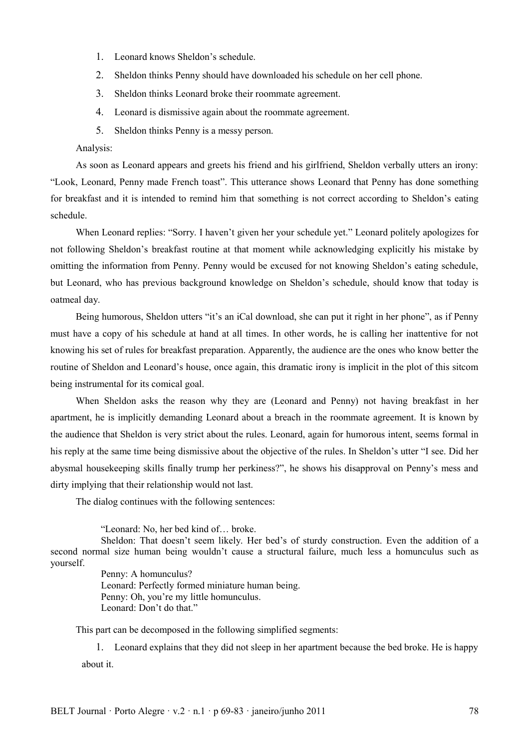- 1. Leonard knows Sheldon's schedule.
- 2. Sheldon thinks Penny should have downloaded his schedule on her cell phone.
- 3. Sheldon thinks Leonard broke their roommate agreement.
- 4. Leonard is dismissive again about the roommate agreement.
- 5. Sheldon thinks Penny is a messy person.

Analysis:

As soon as Leonard appears and greets his friend and his girlfriend, Sheldon verbally utters an irony: "Look, Leonard, Penny made French toast". This utterance shows Leonard that Penny has done something for breakfast and it is intended to remind him that something is not correct according to Sheldon's eating schedule.

When Leonard replies: "Sorry. I haven't given her your schedule yet." Leonard politely apologizes for not following Sheldon's breakfast routine at that moment while acknowledging explicitly his mistake by omitting the information from Penny. Penny would be excused for not knowing Sheldon's eating schedule, but Leonard, who has previous background knowledge on Sheldon's schedule, should know that today is oatmeal day.

Being humorous, Sheldon utters "it's an iCal download, she can put it right in her phone", as if Penny must have a copy of his schedule at hand at all times. In other words, he is calling her inattentive for not knowing his set of rules for breakfast preparation. Apparently, the audience are the ones who know better the routine of Sheldon and Leonard's house, once again, this dramatic irony is implicit in the plot of this sitcom being instrumental for its comical goal.

When Sheldon asks the reason why they are (Leonard and Penny) not having breakfast in her apartment, he is implicitly demanding Leonard about a breach in the roommate agreement. It is known by the audience that Sheldon is very strict about the rules. Leonard, again for humorous intent, seems formal in his reply at the same time being dismissive about the objective of the rules. In Sheldon's utter "I see. Did her abysmal housekeeping skills finally trump her perkiness?", he shows his disapproval on Penny's mess and dirty implying that their relationship would not last.

The dialog continues with the following sentences:

"Leonard: No, her bed kind of… broke.

Sheldon: That doesn't seem likely. Her bed's of sturdy construction. Even the addition of a second normal size human being wouldn't cause a structural failure, much less a homunculus such as yourself.

Penny: A homunculus? Leonard: Perfectly formed miniature human being. Penny: Oh, you're my little homunculus. Leonard: Don't do that."

This part can be decomposed in the following simplified segments:

1. Leonard explains that they did not sleep in her apartment because the bed broke. He is happy about it.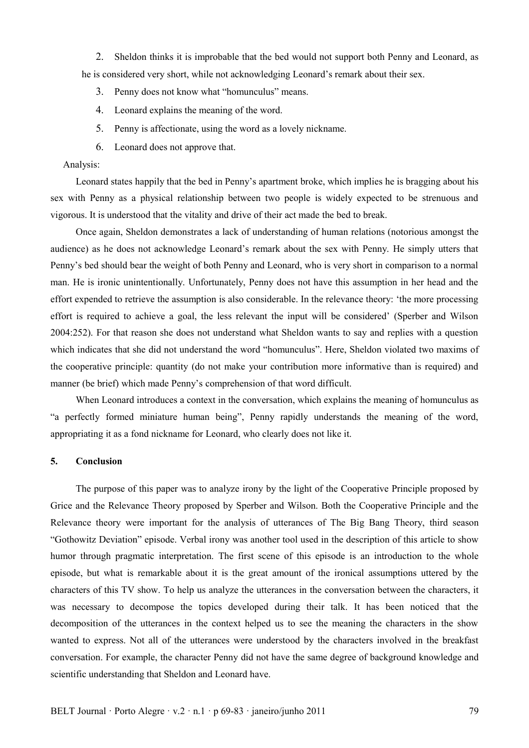2. Sheldon thinks it is improbable that the bed would not support both Penny and Leonard, as he is considered very short, while not acknowledging Leonard's remark about their sex.

- 3. Penny does not know what "homunculus" means.
- 4. Leonard explains the meaning of the word.
- 5. Penny is affectionate, using the word as a lovely nickname.
- 6. Leonard does not approve that.

#### Analysis:

Leonard states happily that the bed in Penny's apartment broke, which implies he is bragging about his sex with Penny as a physical relationship between two people is widely expected to be strenuous and vigorous. It is understood that the vitality and drive of their act made the bed to break.

Once again, Sheldon demonstrates a lack of understanding of human relations (notorious amongst the audience) as he does not acknowledge Leonard's remark about the sex with Penny. He simply utters that Penny's bed should bear the weight of both Penny and Leonard, who is very short in comparison to a normal man. He is ironic unintentionally. Unfortunately, Penny does not have this assumption in her head and the effort expended to retrieve the assumption is also considerable. In the relevance theory: 'the more processing effort is required to achieve a goal, the less relevant the input will be considered' (Sperber and Wilson 2004:252). For that reason she does not understand what Sheldon wants to say and replies with a question which indicates that she did not understand the word "homunculus". Here, Sheldon violated two maxims of the cooperative principle: quantity (do not make your contribution more informative than is required) and manner (be brief) which made Penny's comprehension of that word difficult.

When Leonard introduces a context in the conversation, which explains the meaning of homunculus as "a perfectly formed miniature human being", Penny rapidly understands the meaning of the word, appropriating it as a fond nickname for Leonard, who clearly does not like it.

## **5. Conclusion**

The purpose of this paper was to analyze irony by the light of the Cooperative Principle proposed by Grice and the Relevance Theory proposed by Sperber and Wilson. Both the Cooperative Principle and the Relevance theory were important for the analysis of utterances of The Big Bang Theory, third season "Gothowitz Deviation" episode. Verbal irony was another tool used in the description of this article to show humor through pragmatic interpretation. The first scene of this episode is an introduction to the whole episode, but what is remarkable about it is the great amount of the ironical assumptions uttered by the characters of this TV show. To help us analyze the utterances in the conversation between the characters, it was necessary to decompose the topics developed during their talk. It has been noticed that the decomposition of the utterances in the context helped us to see the meaning the characters in the show wanted to express. Not all of the utterances were understood by the characters involved in the breakfast conversation. For example, the character Penny did not have the same degree of background knowledge and scientific understanding that Sheldon and Leonard have.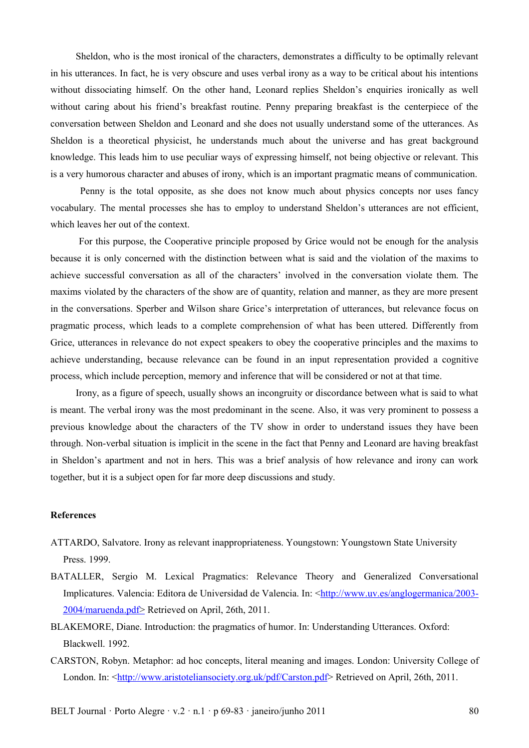Sheldon, who is the most ironical of the characters, demonstrates a difficulty to be optimally relevant in his utterances. In fact, he is very obscure and uses verbal irony as a way to be critical about his intentions without dissociating himself. On the other hand, Leonard replies Sheldon's enquiries ironically as well without caring about his friend's breakfast routine. Penny preparing breakfast is the centerpiece of the conversation between Sheldon and Leonard and she does not usually understand some of the utterances. As Sheldon is a theoretical physicist, he understands much about the universe and has great background knowledge. This leads him to use peculiar ways of expressing himself, not being objective or relevant. This is a very humorous character and abuses of irony, which is an important pragmatic means of communication.

 Penny is the total opposite, as she does not know much about physics concepts nor uses fancy vocabulary. The mental processes she has to employ to understand Sheldon's utterances are not efficient, which leaves her out of the context.

 For this purpose, the Cooperative principle proposed by Grice would not be enough for the analysis because it is only concerned with the distinction between what is said and the violation of the maxims to achieve successful conversation as all of the characters' involved in the conversation violate them. The maxims violated by the characters of the show are of quantity, relation and manner, as they are more present in the conversations. Sperber and Wilson share Grice's interpretation of utterances, but relevance focus on pragmatic process, which leads to a complete comprehension of what has been uttered. Differently from Grice, utterances in relevance do not expect speakers to obey the cooperative principles and the maxims to achieve understanding, because relevance can be found in an input representation provided a cognitive process, which include perception, memory and inference that will be considered or not at that time.

Irony, as a figure of speech, usually shows an incongruity or discordance between what is said to what is meant. The verbal irony was the most predominant in the scene. Also, it was very prominent to possess a previous knowledge about the characters of the TV show in order to understand issues they have been through. Non-verbal situation is implicit in the scene in the fact that Penny and Leonard are having breakfast in Sheldon's apartment and not in hers. This was a brief analysis of how relevance and irony can work together, but it is a subject open for far more deep discussions and study.

### **References**

- ATTARDO, Salvatore. Irony as relevant inappropriateness. Youngstown: Youngstown State University Press. 1999.
- BATALLER, Sergio M. Lexical Pragmatics: Relevance Theory and Generalized Conversational Implicatures. Valencia: Editora de Universidad de Valencia. In: <http://www.uv.es/anglogermanica/2003- $2004/m$  aruenda. pdf > Retrieved on April, 26th, 2011.
- BLAKEMORE, Diane. Introduction: the pragmatics of humor. In: Understanding Utterances. Oxford: Blackwell. 1992.
- CARSTON, Robyn. Metaphor: ad hoc concepts, literal meaning and images. London: University College of London. In: <http://www.aristoteliansociety.org.uk/pdf/Carston.pdf>Retrieved on April, 26th, 2011.

BELT Journal · Porto Alegre · v.2 · n.1 · p  $69-83$  · janeiro/junho 2011 80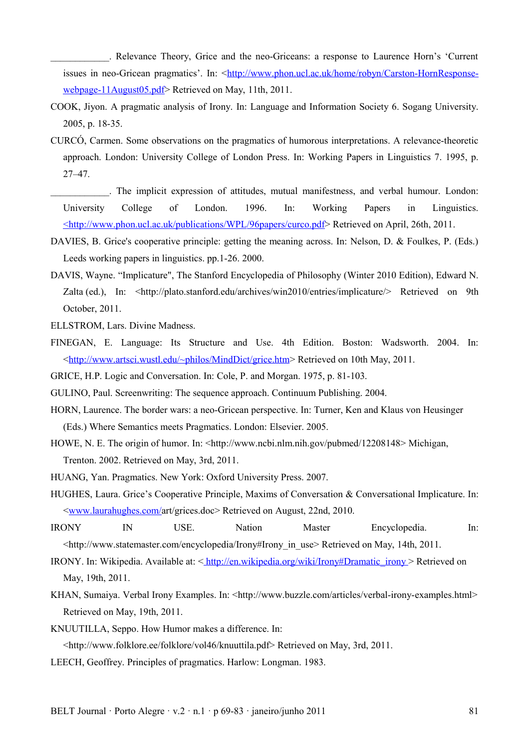\_\_\_\_\_\_\_\_\_\_\_\_. Relevance Theory, Grice and the neo-Griceans: a response to Laurence Horn's 'Current issues in neo-Gricean pragmatics'. In: <http://www.phon.ucl.ac.uk/home/robyn/Carston-HornResponsewebpage-11 August 05. pdf > Retrieved on May, 11th, 2011.

- COOK, Jiyon. A pragmatic analysis of Irony. In: Language and Information Society 6. Sogang University. 2005, p. 18-35.
- CURCÓ, Carmen. Some observations on the pragmatics of humorous interpretations. A relevance-theoretic approach. London: University College of London Press. In: Working Papers in Linguistics 7. 1995, p. 27–47.
- \_\_\_\_\_\_\_\_\_\_\_\_. The implicit expression of attitudes, mutual manifestness, and verbal humour. London: University College of London. 1996. In: Working Papers in Linguistics.  [<http :// www. phon. ucl. ac. uk / publications / WPL /96 papers / curco. pdf>](http://www.phon.ucl.ac.uk/publications/WPL/96papers/curco.pdf) Retrieved on April, 26th, 2011.
- DAVIES, B. Grice's cooperative principle: getting the meaning across. In: Nelson, D. & Foulkes, P. (Eds.) Leeds working papers in linguistics. pp.1-26. 2000.
- DAVIS, Wayne. "Implicature", The Stanford Encyclopedia of Philosophy (Winter 2010 Edition), Edward N. Zalta (ed.), In: <http://plato.stanford.edu/archives/win2010/entries/implicature/> Retrieved on 9th October, 2011.
- ELLSTROM, Lars. Divine Madness.
- FINEGAN, E. Language: Its Structure and Use. 4th Edition. Boston: Wadsworth. 2004. In: [< http :// www. artsci. wustl. edu /~ philos / MindDict / grice. htm>](http://www.artsci.wustl.edu/~philos/MindDict/grice.htm) Retrieved on 10th May, 2011.
- GRICE, H.P. Logic and Conversation. In: Cole, P. and Morgan. 1975, p. 81-103.
- GULINO, Paul. Screenwriting: The sequence approach. Continuum Publishing. 2004.
- HORN, Laurence. The border wars: a neo-Gricean perspective. In: Turner, Ken and Klaus von Heusinger (Eds.) Where Semantics meets Pragmatics. London: Elsevier. 2005.
- HOWE, N. E. The origin of humor. In: <http://www.ncbi.nlm.nih.gov/pubmed/12208148> Michigan, Trenton. 2002. Retrieved on May, 3rd, 2011.
- HUANG, Yan. Pragmatics. New York: Oxford University Press. 2007.
- HUGHES, Laura. Grice's Cooperative Principle, Maxims of Conversation & Conversational Implicature. In: [< www. laurahughes. com /a](http://www.laurahughes.com/art/grice.doc)rt/grices.doc> Retrieved on August, 22nd, 2010.
- IRONY IN USE. Nation Master Encyclopedia. In: <http://www.statemaster.com/encyclopedia/Irony#Irony\_in\_use> Retrieved on May, 14th, 2011.
- IRONY. In: Wikipedia. Available at: [< http://en.wikipedia.org/wiki/Irony#Dramatic\\_irony >](http://en.wikipedia.org/wiki/Innatism) Retrieved on May, 19th, 2011.
- KHAN, Sumaiya. Verbal Irony Examples. In: <http://www.buzzle.com/articles/verbal-irony-examples.html> Retrieved on May, 19th, 2011.
- KNUUTILLA, Seppo. How Humor makes a difference. In:

<http://www.folklore.ee/folklore/vol46/knuuttila.pdf> Retrieved on May, 3rd, 2011.

LEECH, Geoffrey. Principles of pragmatics. Harlow: Longman. 1983.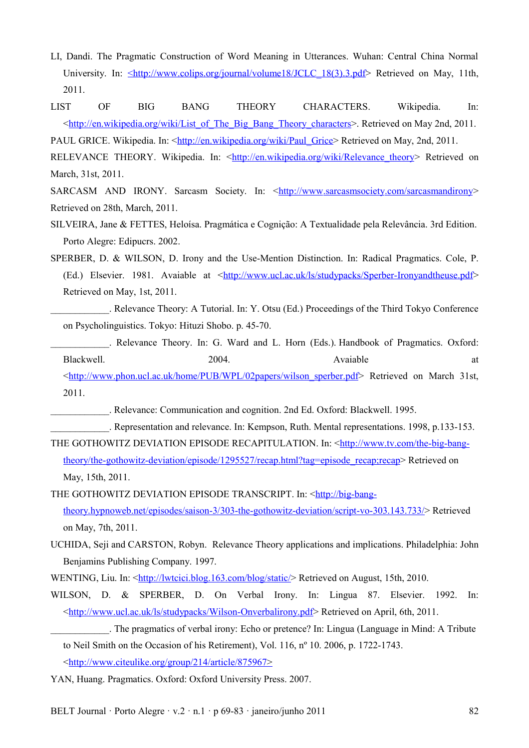- LI, Dandi. The Pragmatic Construction of Word Meaning in Utterances. Wuhan: Central China Normal University. In: <http://www.colips.org/journal/volume18/JCLC 18(3).3.pdf> Retrieved on May, 11th, 2011.
- LIST OF BIG BANG THEORY CHARACTERS. Wikipedia. In: [<http://en.wikipedia.org/wiki/List\\_of\\_The\\_Big\\_Bang\\_Theory\\_characters>](http://en.wikipedia.org/wiki/List_of_The_Big_Bang_Theory_characters). Retrieved on May 2nd, 2011.

PAUL GRICE. Wikipedia. In: <http://en.wikipedia.org/wiki/Paul\_Grice> Retrieved on May, 2nd, 2011.

RELEVANCE THEORY. Wikipedia. In: <http://en.wikipedia.org/wiki/Relevance theory> Retrieved on March, 31st, 2011.

SARCASM AND IRONY. Sarcasm Society. In: <http://www.sarcasmsociety.com/sarcasmandirony> Retrieved on 28th, March, 2011.

- SILVEIRA, Jane & FETTES, Heloísa. Pragmática e Cognição: A Textualidade pela Relevância. 3rd Edition. Porto Alegre: Edipucrs. 2002.
- SPERBER, D. & WILSON, D. Irony and the Use-Mention Distinction. In: Radical Pragmatics. Cole, P. (Ed.) Elsevier. 1981. Avaiable at [<http://www.ucl.ac.uk/ls/studypacks/Sperber-Ironyandtheuse.pdf>](http://www.ucl.ac.uk/ls/studypacks/Sperber-Ironyandtheuse.pdf) Retrieved on May, 1st, 2011.
	- \_\_\_\_\_\_\_\_\_\_\_\_. Relevance Theory: A Tutorial. In: Y. Otsu (Ed.) Proceedings of the Third Tokyo Conference on Psycholinguistics. Tokyo: Hituzi Shobo. p. 45-70.
	- . Relevance Theory. In: G. Ward and L. Horn (Eds.). Handbook of Pragmatics. Oxford: Blackwell. 2004. 2004. Avaiable at
	- [< http :// www. phon. ucl. ac. uk / home / PUB / WPL /02 papers / wilson \\_ sperber. pdf>](http://www.phon.ucl.ac.uk/home/PUB/WPL/02papers/wilson_sperber.pdf) Retrieved on March 31st, 2011.

\_\_\_\_\_\_\_\_\_\_\_\_. Relevance: Communication and cognition. 2nd Ed. Oxford: Blackwell. 1995.

\_\_\_\_\_\_\_\_\_\_\_\_. Representation and relevance. In: Kempson, Ruth. Mental representations. 1998, p.133-153.

THE GOTHOWITZ DEVIATION EPISODE RECAPITULATION. In: <**http://www.tv.com/the-big-bang**[theory/the-gothowitz-deviation/episode/1295527/recap.html?tag=episode\\_recap;recap>](http://www.tv.com/the-big-bang-theory/the-gothowitz-deviation/episode/1295527/recap.html?tag=episode_recap;recap) Retrieved on May, 15th, 2011.

THE GOTHOWITZ DEVIATION EPISODE TRANSCRIPT. In: [<http://big-bang](http://big-bang-theory.hypnoweb.net/episodes/saison-3/303-the-gothowitz-deviation/script-vo-303.143.733/)[theory.hypnoweb.net/episodes/saison-3/303-the-gothowitz-deviation/script-vo-303.143.733/>](http://big-bang-theory.hypnoweb.net/episodes/saison-3/303-the-gothowitz-deviation/script-vo-303.143.733/) Retrieved on May, 7th, 2011.

- UCHIDA, Seji and CARSTON, Robyn. Relevance Theory applications and implications. Philadelphia: John Benjamins Publishing Company. 1997.
- WENTING, Liu. In: <<u>http://lwtcici.blog.163.com/blog/static</u>/>Retrieved on August, 15th, 2010.
- WILSON, D. & SPERBER, D. On Verbal Irony. In: Lingua 87. Elsevier. 1992. In: [<http://www.ucl.ac.uk/ls/studypacks/Wilson-Onverbalirony.pdf>](http://www.ucl.ac.uk/ls/studypacks/Wilson-Onverbalirony.pdf) Retrieved on April, 6th, 2011.

YAN, Huang. Pragmatics. Oxford: Oxford University Press. 2007.

BELT Journal · Porto Alegre · v.2 · n.1 · p 69-83 · janeiro/junho 2011 82

\_\_\_\_\_\_\_\_\_\_\_\_. The pragmatics of verbal irony: Echo or pretence? In: Lingua (Language in Mind: A Tribute to Neil Smith on the Occasion of his Retirement), Vol. 116, nº 10. 2006, p. 1722-1743.  $\langle \frac{\text{http://www.citeulike.org/group/214/article/875967>}{\text{http://www.citeulike.org/group/214/article/875967>}}$